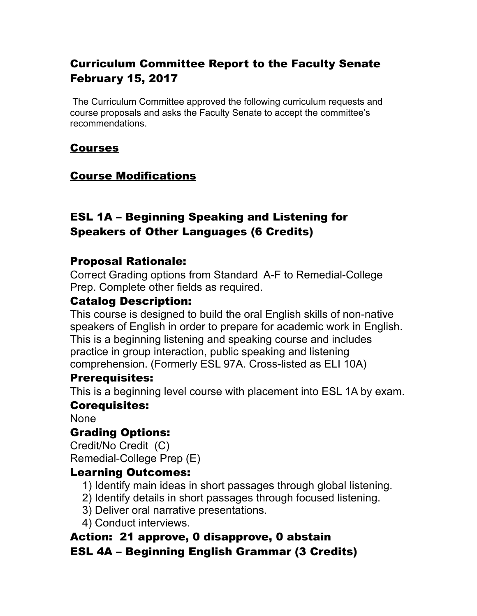# Curriculum Committee Report to the Faculty Senate February 15, 2017

 The Curriculum Committee approved the following curriculum requests and course proposals and asks the Faculty Senate to accept the committee's recommendations.

#### Courses

### Course Modifications

### ESL 1A – Beginning Speaking and Listening for Speakers of Other Languages (6 Credits)

#### Proposal Rationale:

Correct Grading options from Standard A-F to Remedial-College Prep. Complete other fields as required.

#### Catalog Description:

This course is designed to build the oral English skills of non-native speakers of English in order to prepare for academic work in English. This is a beginning listening and speaking course and includes practice in group interaction, public speaking and listening comprehension. (Formerly ESL 97A. Cross-listed as ELI 10A)

#### Prerequisites:

This is a beginning level course with placement into ESL 1A by exam.

#### Corequisites:

None

### Grading Options:

Credit/No Credit (C) Remedial-College Prep (E)

#### Learning Outcomes:

- 1) Identify main ideas in short passages through global listening.
- 2) Identify details in short passages through focused listening.
- 3) Deliver oral narrative presentations.
- 4) Conduct interviews.

#### Action: 21 approve, 0 disapprove, 0 abstain ESL 4A – Beginning English Grammar (3 Credits)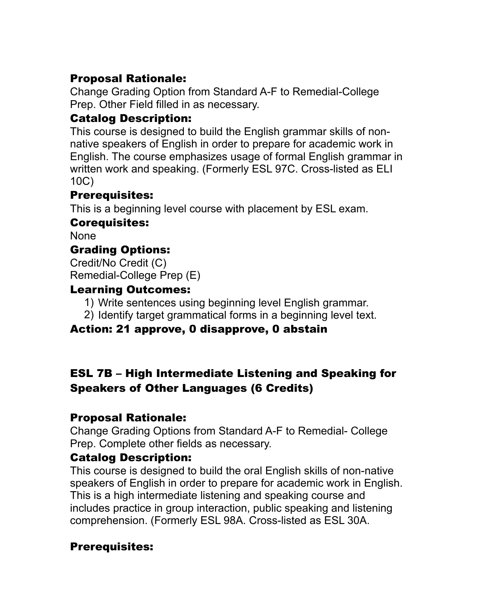### Proposal Rationale:

Change Grading Option from Standard A-F to Remedial-College Prep. Other Field filled in as necessary.

# Catalog Description:

This course is designed to build the English grammar skills of nonnative speakers of English in order to prepare for academic work in English. The course emphasizes usage of formal English grammar in written work and speaking. (Formerly ESL 97C. Cross-listed as ELI 10C)

### Prerequisites:

This is a beginning level course with placement by ESL exam.

### Corequisites:

None

# Grading Options:

Credit/No Credit (C) Remedial-College Prep (E)

### Learning Outcomes:

- 1) Write sentences using beginning level English grammar.
- 2) Identify target grammatical forms in a beginning level text.

# Action: 21 approve, 0 disapprove, 0 abstain

# ESL 7B – High Intermediate Listening and Speaking for Speakers of Other Languages (6 Credits)

### Proposal Rationale:

Change Grading Options from Standard A-F to Remedial- College Prep. Complete other fields as necessary.

# Catalog Description:

This course is designed to build the oral English skills of non-native speakers of English in order to prepare for academic work in English. This is a high intermediate listening and speaking course and includes practice in group interaction, public speaking and listening comprehension. (Formerly ESL 98A. Cross-listed as ESL 30A.

# Prerequisites: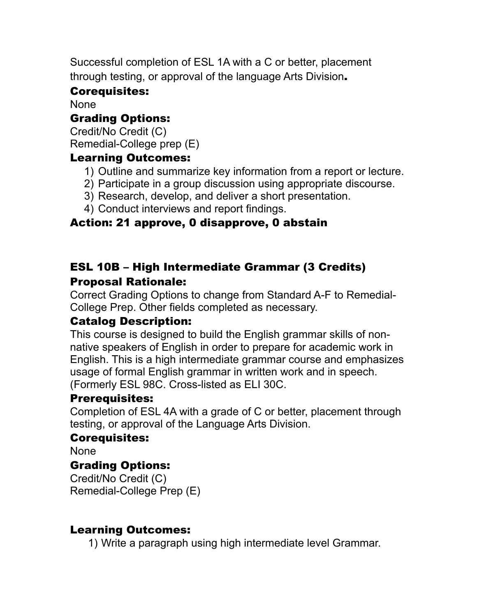Successful completion of ESL 1A with a C or better, placement through testing, or approval of the language Arts Division.

### Corequisites:

None

### Grading Options:

Credit/No Credit (C) Remedial-College prep (E)

### Learning Outcomes:

- 1) Outline and summarize key information from a report or lecture.
- 2) Participate in a group discussion using appropriate discourse.
- 3) Research, develop, and deliver a short presentation.
- 4) Conduct interviews and report findings.

### Action: 21 approve, 0 disapprove, 0 abstain

# ESL 10B – High Intermediate Grammar (3 Credits) Proposal Rationale:

Correct Grading Options to change from Standard A-F to Remedial-College Prep. Other fields completed as necessary.

### Catalog Description:

This course is designed to build the English grammar skills of nonnative speakers of English in order to prepare for academic work in English. This is a high intermediate grammar course and emphasizes usage of formal English grammar in written work and in speech. (Formerly ESL 98C. Cross-listed as ELI 30C.

#### Prerequisites:

Completion of ESL 4A with a grade of C or better, placement through testing, or approval of the Language Arts Division.

### Corequisites:

None

### Grading Options:

Credit/No Credit (C) Remedial-College Prep (E)

#### Learning Outcomes:

1) Write a paragraph using high intermediate level Grammar.